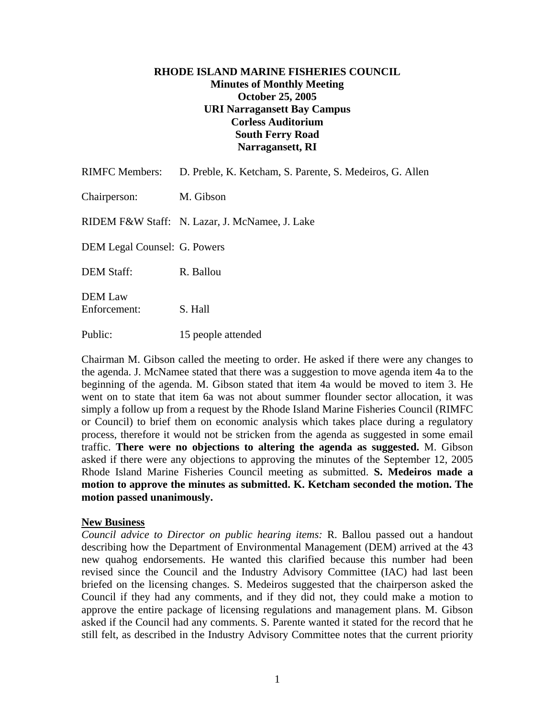# **RHODE ISLAND MARINE FISHERIES COUNCIL Minutes of Monthly Meeting October 25, 2005 URI Narragansett Bay Campus Corless Auditorium South Ferry Road Narragansett, RI**

| <b>RIMFC Members:</b>               | D. Preble, K. Ketcham, S. Parente, S. Medeiros, G. Allen |
|-------------------------------------|----------------------------------------------------------|
| Chairperson:                        | M. Gibson                                                |
|                                     | RIDEM F&W Staff: N. Lazar, J. McNamee, J. Lake           |
| <b>DEM Legal Counsel: G. Powers</b> |                                                          |
| <b>DEM Staff:</b>                   | R. Ballou                                                |
| <b>DEM</b> Law<br>Enforcement:      | S. Hall                                                  |
| Public:                             | 15 people attended                                       |

Chairman M. Gibson called the meeting to order. He asked if there were any changes to the agenda. J. McNamee stated that there was a suggestion to move agenda item 4a to the beginning of the agenda. M. Gibson stated that item 4a would be moved to item 3. He went on to state that item 6a was not about summer flounder sector allocation, it was simply a follow up from a request by the Rhode Island Marine Fisheries Council (RIMFC or Council) to brief them on economic analysis which takes place during a regulatory process, therefore it would not be stricken from the agenda as suggested in some email traffic. **There were no objections to altering the agenda as suggested.** M. Gibson asked if there were any objections to approving the minutes of the September 12, 2005 Rhode Island Marine Fisheries Council meeting as submitted. **S. Medeiros made a motion to approve the minutes as submitted. K. Ketcham seconded the motion. The motion passed unanimously.** 

#### **New Business**

*Council advice to Director on public hearing items:* R. Ballou passed out a handout describing how the Department of Environmental Management (DEM) arrived at the 43 new quahog endorsements. He wanted this clarified because this number had been revised since the Council and the Industry Advisory Committee (IAC) had last been briefed on the licensing changes. S. Medeiros suggested that the chairperson asked the Council if they had any comments, and if they did not, they could make a motion to approve the entire package of licensing regulations and management plans. M. Gibson asked if the Council had any comments. S. Parente wanted it stated for the record that he still felt, as described in the Industry Advisory Committee notes that the current priority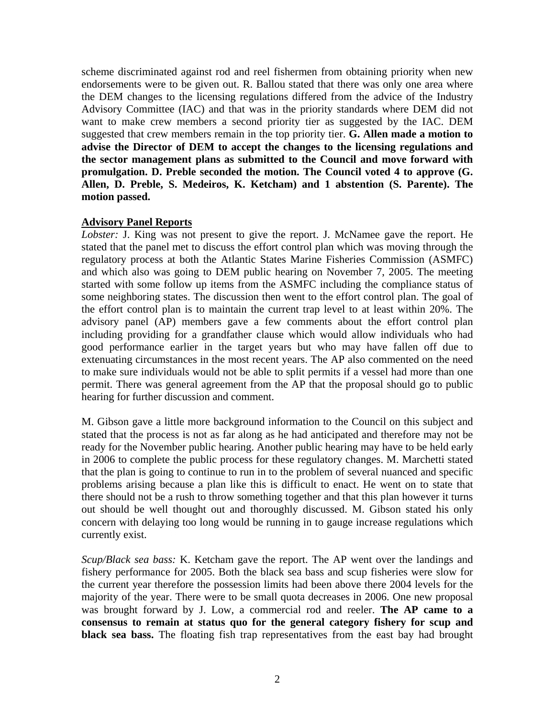scheme discriminated against rod and reel fishermen from obtaining priority when new endorsements were to be given out. R. Ballou stated that there was only one area where the DEM changes to the licensing regulations differed from the advice of the Industry Advisory Committee (IAC) and that was in the priority standards where DEM did not want to make crew members a second priority tier as suggested by the IAC. DEM suggested that crew members remain in the top priority tier. **G. Allen made a motion to advise the Director of DEM to accept the changes to the licensing regulations and the sector management plans as submitted to the Council and move forward with promulgation. D. Preble seconded the motion. The Council voted 4 to approve (G. Allen, D. Preble, S. Medeiros, K. Ketcham) and 1 abstention (S. Parente). The motion passed.**

### **Advisory Panel Reports**

*Lobster:* J. King was not present to give the report. J. McNamee gave the report. He stated that the panel met to discuss the effort control plan which was moving through the regulatory process at both the Atlantic States Marine Fisheries Commission (ASMFC) and which also was going to DEM public hearing on November 7, 2005. The meeting started with some follow up items from the ASMFC including the compliance status of some neighboring states. The discussion then went to the effort control plan. The goal of the effort control plan is to maintain the current trap level to at least within 20%. The advisory panel (AP) members gave a few comments about the effort control plan including providing for a grandfather clause which would allow individuals who had good performance earlier in the target years but who may have fallen off due to extenuating circumstances in the most recent years. The AP also commented on the need to make sure individuals would not be able to split permits if a vessel had more than one permit. There was general agreement from the AP that the proposal should go to public hearing for further discussion and comment.

M. Gibson gave a little more background information to the Council on this subject and stated that the process is not as far along as he had anticipated and therefore may not be ready for the November public hearing. Another public hearing may have to be held early in 2006 to complete the public process for these regulatory changes. M. Marchetti stated that the plan is going to continue to run in to the problem of several nuanced and specific problems arising because a plan like this is difficult to enact. He went on to state that there should not be a rush to throw something together and that this plan however it turns out should be well thought out and thoroughly discussed. M. Gibson stated his only concern with delaying too long would be running in to gauge increase regulations which currently exist.

*Scup/Black sea bass:* K. Ketcham gave the report. The AP went over the landings and fishery performance for 2005. Both the black sea bass and scup fisheries were slow for the current year therefore the possession limits had been above there 2004 levels for the majority of the year. There were to be small quota decreases in 2006. One new proposal was brought forward by J. Low, a commercial rod and reeler. **The AP came to a consensus to remain at status quo for the general category fishery for scup and black sea bass.** The floating fish trap representatives from the east bay had brought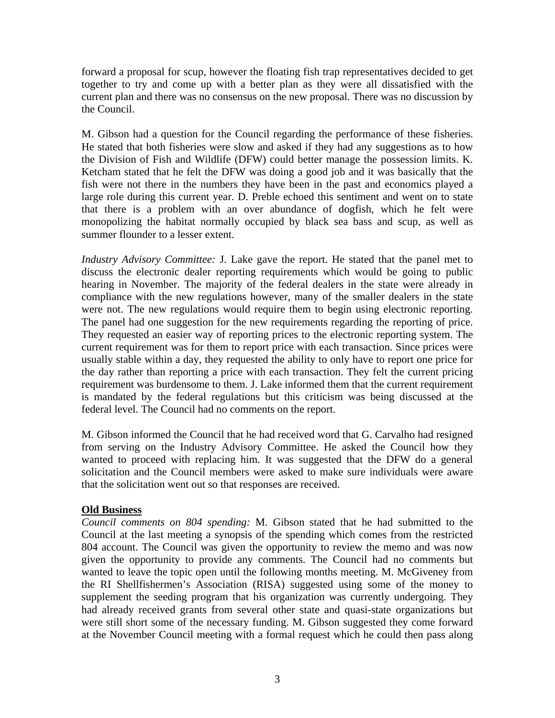forward a proposal for scup, however the floating fish trap representatives decided to get together to try and come up with a better plan as they were all dissatisfied with the current plan and there was no consensus on the new proposal. There was no discussion by the Council.

M. Gibson had a question for the Council regarding the performance of these fisheries. He stated that both fisheries were slow and asked if they had any suggestions as to how the Division of Fish and Wildlife (DFW) could better manage the possession limits. K. Ketcham stated that he felt the DFW was doing a good job and it was basically that the fish were not there in the numbers they have been in the past and economics played a large role during this current year. D. Preble echoed this sentiment and went on to state that there is a problem with an over abundance of dogfish, which he felt were monopolizing the habitat normally occupied by black sea bass and scup, as well as summer flounder to a lesser extent.

*Industry Advisory Committee:* J. Lake gave the report. He stated that the panel met to discuss the electronic dealer reporting requirements which would be going to public hearing in November. The majority of the federal dealers in the state were already in compliance with the new regulations however, many of the smaller dealers in the state were not. The new regulations would require them to begin using electronic reporting. The panel had one suggestion for the new requirements regarding the reporting of price. They requested an easier way of reporting prices to the electronic reporting system. The current requirement was for them to report price with each transaction. Since prices were usually stable within a day, they requested the ability to only have to report one price for the day rather than reporting a price with each transaction. They felt the current pricing requirement was burdensome to them. J. Lake informed them that the current requirement is mandated by the federal regulations but this criticism was being discussed at the federal level. The Council had no comments on the report.

M. Gibson informed the Council that he had received word that G. Carvalho had resigned from serving on the Industry Advisory Committee. He asked the Council how they wanted to proceed with replacing him. It was suggested that the DFW do a general solicitation and the Council members were asked to make sure individuals were aware that the solicitation went out so that responses are received.

### **Old Business**

*Council comments on 804 spending:* M. Gibson stated that he had submitted to the Council at the last meeting a synopsis of the spending which comes from the restricted 804 account. The Council was given the opportunity to review the memo and was now given the opportunity to provide any comments. The Council had no comments but wanted to leave the topic open until the following months meeting. M. McGiveney from the RI Shellfishermen's Association (RISA) suggested using some of the money to supplement the seeding program that his organization was currently undergoing. They had already received grants from several other state and quasi-state organizations but were still short some of the necessary funding. M. Gibson suggested they come forward at the November Council meeting with a formal request which he could then pass along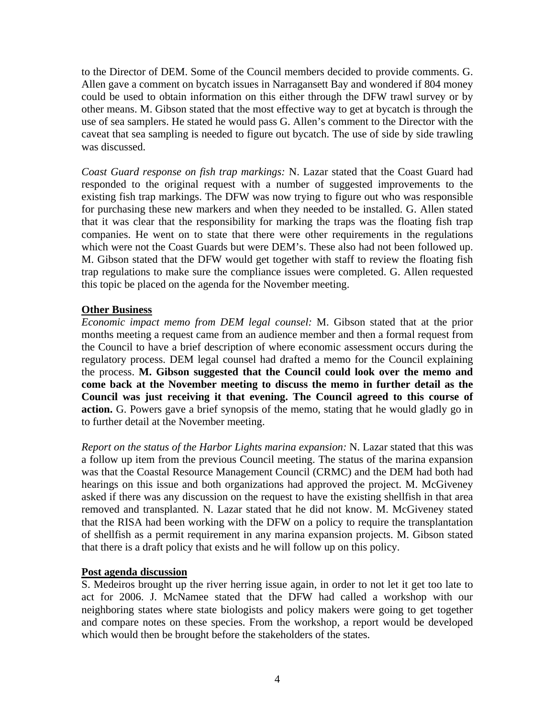to the Director of DEM. Some of the Council members decided to provide comments. G. Allen gave a comment on bycatch issues in Narragansett Bay and wondered if 804 money could be used to obtain information on this either through the DFW trawl survey or by other means. M. Gibson stated that the most effective way to get at bycatch is through the use of sea samplers. He stated he would pass G. Allen's comment to the Director with the caveat that sea sampling is needed to figure out bycatch. The use of side by side trawling was discussed.

*Coast Guard response on fish trap markings:* N. Lazar stated that the Coast Guard had responded to the original request with a number of suggested improvements to the existing fish trap markings. The DFW was now trying to figure out who was responsible for purchasing these new markers and when they needed to be installed. G. Allen stated that it was clear that the responsibility for marking the traps was the floating fish trap companies. He went on to state that there were other requirements in the regulations which were not the Coast Guards but were DEM's. These also had not been followed up. M. Gibson stated that the DFW would get together with staff to review the floating fish trap regulations to make sure the compliance issues were completed. G. Allen requested this topic be placed on the agenda for the November meeting.

# **Other Business**

*Economic impact memo from DEM legal counsel:* M. Gibson stated that at the prior months meeting a request came from an audience member and then a formal request from the Council to have a brief description of where economic assessment occurs during the regulatory process. DEM legal counsel had drafted a memo for the Council explaining the process. **M. Gibson suggested that the Council could look over the memo and come back at the November meeting to discuss the memo in further detail as the Council was just receiving it that evening. The Council agreed to this course of action.** G. Powers gave a brief synopsis of the memo, stating that he would gladly go in to further detail at the November meeting.

*Report on the status of the Harbor Lights marina expansion:* N. Lazar stated that this was a follow up item from the previous Council meeting. The status of the marina expansion was that the Coastal Resource Management Council (CRMC) and the DEM had both had hearings on this issue and both organizations had approved the project. M. McGiveney asked if there was any discussion on the request to have the existing shellfish in that area removed and transplanted. N. Lazar stated that he did not know. M. McGiveney stated that the RISA had been working with the DFW on a policy to require the transplantation of shellfish as a permit requirement in any marina expansion projects. M. Gibson stated that there is a draft policy that exists and he will follow up on this policy.

### **Post agenda discussion**

S. Medeiros brought up the river herring issue again, in order to not let it get too late to act for 2006. J. McNamee stated that the DFW had called a workshop with our neighboring states where state biologists and policy makers were going to get together and compare notes on these species. From the workshop, a report would be developed which would then be brought before the stakeholders of the states.